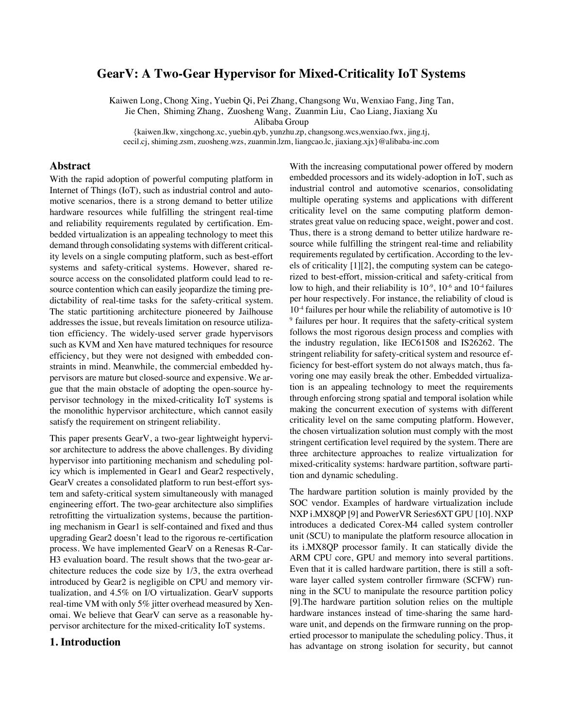# **GearV: A Two-Gear Hypervisor for Mixed-Criticality IoT Systems**

Kaiwen Long, Chong Xing, Yuebin Qi, Pei Zhang, Changsong Wu, Wenxiao Fang, Jing Tan, Jie Chen, Shiming Zhang, Zuosheng Wang, Zuanmin Liu, Cao Liang, Jiaxiang Xu

Alibaba Group

{kaiwen.lkw, xingchong.xc, yuebin.qyb, yunzhu.zp, changsong.wcs,wenxiao.fwx, jing.tj, cecil.cj, shiming.zsm, zuosheng.wzs, zuanmin.lzm, liangcao.lc, jiaxiang.xjx}@alibaba-inc.com

## **Abstract**

With the rapid adoption of powerful computing platform in Internet of Things (IoT), such as industrial control and automotive scenarios, there is a strong demand to better utilize hardware resources while fulfilling the stringent real-time and reliability requirements regulated by certification. Embedded virtualization is an appealing technology to meet this demand through consolidating systems with different criticality levels on a single computing platform, such as best-effort systems and safety-critical systems. However, shared resource access on the consolidated platform could lead to resource contention which can easily jeopardize the timing predictability of real-time tasks for the safety-critical system. The static partitioning architecture pioneered by Jailhouse addresses the issue, but reveals limitation on resource utilization efficiency. The widely-used server grade hypervisors such as KVM and Xen have matured techniques for resource efficiency, but they were not designed with embedded constraints in mind. Meanwhile, the commercial embedded hypervisors are mature but closed-source and expensive. We argue that the main obstacle of adopting the open-source hypervisor technology in the mixed-criticality IoT systems is the monolithic hypervisor architecture, which cannot easily satisfy the requirement on stringent reliability.

This paper presents GearV, a two-gear lightweight hypervisor architecture to address the above challenges. By dividing hypervisor into partitioning mechanism and scheduling policy which is implemented in Gear1 and Gear2 respectively, GearV creates a consolidated platform to run best-effort system and safety-critical system simultaneously with managed engineering effort. The two-gear architecture also simplifies retrofitting the virtualization systems, because the partitioning mechanism in Gear1 is self-contained and fixed and thus upgrading Gear2 doesn't lead to the rigorous re-certification process. We have implemented GearV on a Renesas R-Car-H3 evaluation board. The result shows that the two-gear architecture reduces the code size by 1/3, the extra overhead introduced by Gear2 is negligible on CPU and memory virtualization, and 4.5% on I/O virtualization. GearV supports real-time VM with only 5% jitter overhead measured by Xenomai. We believe that GearV can serve as a reasonable hypervisor architecture for the mixed-criticality IoT systems.

## **1. Introduction**

With the increasing computational power offered by modern embedded processors and its widely-adoption in IoT, such as industrial control and automotive scenarios, consolidating multiple operating systems and applications with different criticality level on the same computing platform demonstrates great value on reducing space, weight, power and cost. Thus, there is a strong demand to better utilize hardware resource while fulfilling the stringent real-time and reliability requirements regulated by certification. According to the levels of criticality [1][2], the computing system can be categorized to best-effort, mission-critical and safety-critical from low to high, and their reliability is  $10^{-9}$ ,  $10^{-6}$  and  $10^{-4}$  failures per hour respectively. For instance, the reliability of cloud is  $10^{-4}$  failures per hour while the reliability of automotive is 10-<sup>9</sup> failures per hour. It requires that the safety-critical system follows the most rigorous design process and complies with the industry regulation, like IEC61508 and IS26262. The stringent reliability for safety-critical system and resource efficiency for best-effort system do not always match, thus favoring one may easily break the other. Embedded virtualization is an appealing technology to meet the requirements through enforcing strong spatial and temporal isolation while making the concurrent execution of systems with different criticality level on the same computing platform. However, the chosen virtualization solution must comply with the most stringent certification level required by the system. There are three architecture approaches to realize virtualization for mixed-criticality systems: hardware partition, software partition and dynamic scheduling.

The hardware partition solution is mainly provided by the SOC vendor. Examples of hardware virtualization include NXP i.MX8QP [9] and PowerVR Series6XT GPU [10]. NXP introduces a dedicated Corex-M4 called system controller unit (SCU) to manipulate the platform resource allocation in its i.MX8QP processor family. It can statically divide the ARM CPU core, GPU and memory into several partitions. Even that it is called hardware partition, there is still a software layer called system controller firmware (SCFW) running in the SCU to manipulate the resource partition policy [9].The hardware partition solution relies on the multiple hardware instances instead of time-sharing the same hardware unit, and depends on the firmware running on the propertied processor to manipulate the scheduling policy. Thus, it has advantage on strong isolation for security, but cannot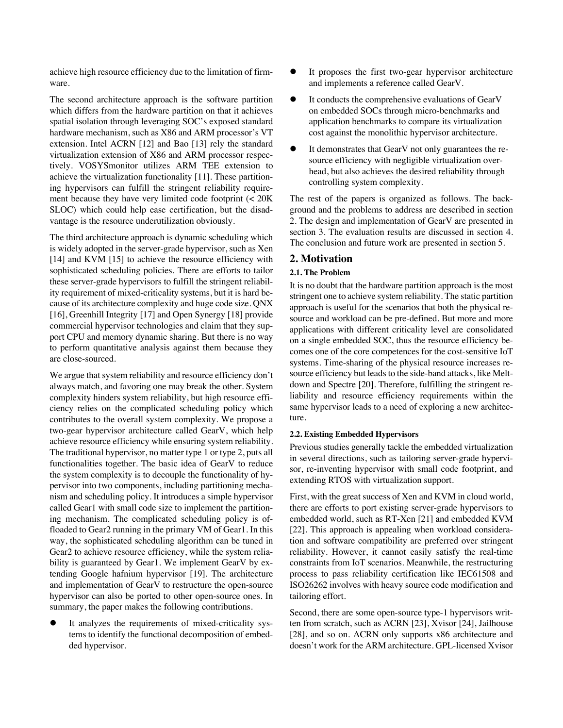achieve high resource efficiency due to the limitation of firmware.

The second architecture approach is the software partition which differs from the hardware partition on that it achieves spatial isolation through leveraging SOC's exposed standard hardware mechanism, such as X86 and ARM processor's VT extension. Intel ACRN [12] and Bao [13] rely the standard virtualization extension of X86 and ARM processor respectively. VOSYSmonitor utilizes ARM TEE extension to achieve the virtualization functionality [11]. These partitioning hypervisors can fulfill the stringent reliability requirement because they have very limited code footprint (< 20K SLOC) which could help ease certification, but the disadvantage is the resource underutilization obviously.

The third architecture approach is dynamic scheduling which is widely adopted in the server-grade hypervisor, such as Xen [14] and KVM [15] to achieve the resource efficiency with sophisticated scheduling policies. There are efforts to tailor these server-grade hypervisors to fulfill the stringent reliability requirement of mixed-criticality systems, but it is hard because of its architecture complexity and huge code size. QNX [16], Greenhill Integrity [17] and Open Synergy [18] provide commercial hypervisor technologies and claim that they support CPU and memory dynamic sharing. But there is no way to perform quantitative analysis against them because they are close-sourced.

We argue that system reliability and resource efficiency don't always match, and favoring one may break the other. System complexity hinders system reliability, but high resource efficiency relies on the complicated scheduling policy which contributes to the overall system complexity. We propose a two-gear hypervisor architecture called GearV, which help achieve resource efficiency while ensuring system reliability. The traditional hypervisor, no matter type 1 or type 2, puts all functionalities together. The basic idea of GearV to reduce the system complexity is to decouple the functionality of hypervisor into two components, including partitioning mechanism and scheduling policy. It introduces a simple hypervisor called Gear1 with small code size to implement the partitioning mechanism. The complicated scheduling policy is offloaded to Gear2 running in the primary VM of Gear1. In this way, the sophisticated scheduling algorithm can be tuned in Gear2 to achieve resource efficiency, while the system reliability is guaranteed by Gear1. We implement GearV by extending Google hafnium hypervisor [19]. The architecture and implementation of GearV to restructure the open-source hypervisor can also be ported to other open-source ones. In summary, the paper makes the following contributions.

It analyzes the requirements of mixed-criticality systems to identify the functional decomposition of embedded hypervisor.

- It proposes the first two-gear hypervisor architecture and implements a reference called GearV.
- It conducts the comprehensive evaluations of GearV on embedded SOCs through micro-benchmarks and application benchmarks to compare its virtualization cost against the monolithic hypervisor architecture.
- It demonstrates that GearV not only guarantees the resource efficiency with negligible virtualization overhead, but also achieves the desired reliability through controlling system complexity.

The rest of the papers is organized as follows. The background and the problems to address are described in section 2. The design and implementation of GearV are presented in section 3. The evaluation results are discussed in section 4. The conclusion and future work are presented in section 5.

# **2. Motivation**

## **2.1. The Problem**

It is no doubt that the hardware partition approach is the most stringent one to achieve system reliability. The static partition approach is useful for the scenarios that both the physical resource and workload can be pre-defined. But more and more applications with different criticality level are consolidated on a single embedded SOC, thus the resource efficiency becomes one of the core competences for the cost-sensitive IoT systems. Time-sharing of the physical resource increases resource efficiency but leads to the side-band attacks, like Meltdown and Spectre [20]. Therefore, fulfilling the stringent reliability and resource efficiency requirements within the same hypervisor leads to a need of exploring a new architecture.

### **2.2. Existing Embedded Hypervisors**

Previous studies generally tackle the embedded virtualization in several directions, such as tailoring server-grade hypervisor, re-inventing hypervisor with small code footprint, and extending RTOS with virtualization support.

First, with the great success of Xen and KVM in cloud world, there are efforts to port existing server-grade hypervisors to embedded world, such as RT-Xen [21] and embedded KVM [22]. This approach is appealing when workload consideration and software compatibility are preferred over stringent reliability. However, it cannot easily satisfy the real-time constraints from IoT scenarios. Meanwhile, the restructuring process to pass reliability certification like IEC61508 and ISO26262 involves with heavy source code modification and tailoring effort.

Second, there are some open-source type-1 hypervisors written from scratch, such as ACRN [23], Xvisor [24], Jailhouse [28], and so on. ACRN only supports x86 architecture and doesn't work for the ARM architecture. GPL-licensed Xvisor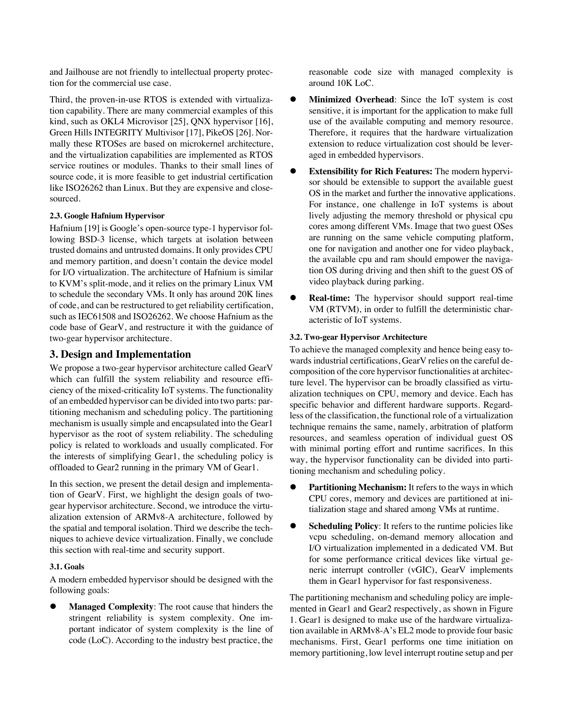and Jailhouse are not friendly to intellectual property protection for the commercial use case.

Third, the proven-in-use RTOS is extended with virtualization capability. There are many commercial examples of this kind, such as OKL4 Microvisor [25], QNX hypervisor [16], Green Hills INTEGRITY Multivisor [17], PikeOS [26]. Normally these RTOSes are based on microkernel architecture, and the virtualization capabilities are implemented as RTOS service routines or modules. Thanks to their small lines of source code, it is more feasible to get industrial certification like ISO26262 than Linux. But they are expensive and closesourced.

## **2.3. Google Hafnium Hypervisor**

Hafnium [19] is Google's open-source type-1 hypervisor following BSD-3 license, which targets at isolation between trusted domains and untrusted domains. It only provides CPU and memory partition, and doesn't contain the device model for I/O virtualization. The architecture of Hafnium is similar to KVM's split-mode, and it relies on the primary Linux VM to schedule the secondary VMs. It only has around 20K lines of code, and can be restructured to get reliability certification, such as IEC61508 and ISO26262. We choose Hafnium as the code base of GearV, and restructure it with the guidance of two-gear hypervisor architecture.

## **3. Design and Implementation**

We propose a two-gear hypervisor architecture called GearV which can fulfill the system reliability and resource efficiency of the mixed-criticality IoT systems. The functionality of an embedded hypervisor can be divided into two parts: partitioning mechanism and scheduling policy. The partitioning mechanism is usually simple and encapsulated into the Gear1 hypervisor as the root of system reliability. The scheduling policy is related to workloads and usually complicated. For the interests of simplifying Gear1, the scheduling policy is offloaded to Gear2 running in the primary VM of Gear1.

In this section, we present the detail design and implementation of GearV. First, we highlight the design goals of twogear hypervisor architecture. Second, we introduce the virtualization extension of ARMv8-A architecture, followed by the spatial and temporal isolation. Third we describe the techniques to achieve device virtualization. Finally, we conclude this section with real-time and security support.

## **3.1. Goals**

A modern embedded hypervisor should be designed with the following goals:

**Managed Complexity**: The root cause that hinders the stringent reliability is system complexity. One important indicator of system complexity is the line of code (LoC). According to the industry best practice, the reasonable code size with managed complexity is around 10K LoC.

- **Minimized Overhead**: Since the IoT system is cost sensitive, it is important for the application to make full use of the available computing and memory resource. Therefore, it requires that the hardware virtualization extension to reduce virtualization cost should be leveraged in embedded hypervisors.
- **Extensibility for Rich Features:** The modern hypervisor should be extensible to support the available guest OS in the market and further the innovative applications. For instance, one challenge in IoT systems is about lively adjusting the memory threshold or physical cpu cores among different VMs. Image that two guest OSes are running on the same vehicle computing platform, one for navigation and another one for video playback, the available cpu and ram should empower the navigation OS during driving and then shift to the guest OS of video playback during parking.
- **Real-time:** The hypervisor should support real-time VM (RTVM), in order to fulfill the deterministic characteristic of IoT systems.

## **3.2. Two-gear Hypervisor Architecture**

To achieve the managed complexity and hence being easy towards industrial certifications, GearV relies on the careful decomposition of the core hypervisor functionalities at architecture level. The hypervisor can be broadly classified as virtualization techniques on CPU, memory and device. Each has specific behavior and different hardware supports. Regardless of the classification, the functional role of a virtualization technique remains the same, namely, arbitration of platform resources, and seamless operation of individual guest OS with minimal porting effort and runtime sacrifices. In this way, the hypervisor functionality can be divided into partitioning mechanism and scheduling policy.

- **Partitioning Mechanism:** It refers to the ways in which CPU cores, memory and devices are partitioned at initialization stage and shared among VMs at runtime.
- **Scheduling Policy:** It refers to the runtime policies like vcpu scheduling, on-demand memory allocation and I/O virtualization implemented in a dedicated VM. But for some performance critical devices like virtual generic interrupt controller (vGIC), GearV implements them in Gear1 hypervisor for fast responsiveness.

The partitioning mechanism and scheduling policy are implemented in Gear1 and Gear2 respectively, as shown in Figure 1. Gear1 is designed to make use of the hardware virtualization available in ARMv8-A's EL2 mode to provide four basic mechanisms. First, Gear1 performs one time initiation on memory partitioning, low level interrupt routine setup and per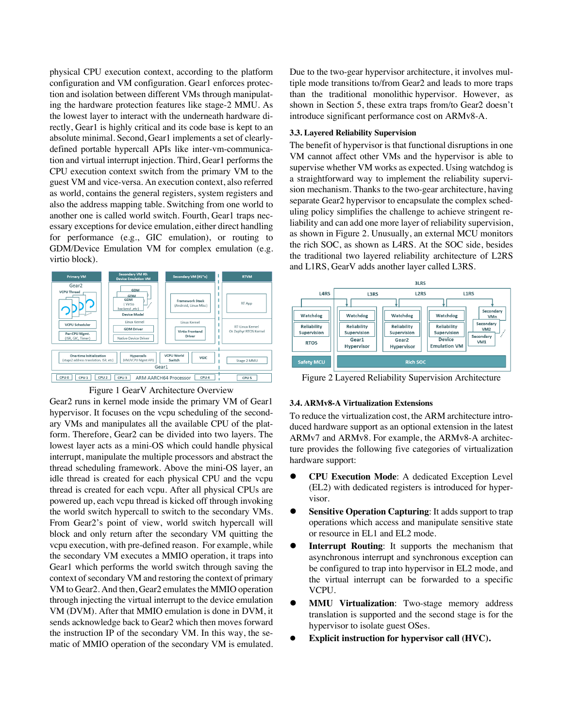physical CPU execution context, according to the platform configuration and VM configuration. Gear1 enforces protection and isolation between different VMs through manipulating the hardware protection features like stage-2 MMU. As the lowest layer to interact with the underneath hardware directly, Gear1 is highly critical and its code base is kept to an absolute minimal. Second, Gear1 implements a set of clearlydefined portable hypercall APIs like inter-vm-communication and virtual interrupt injection. Third, Gear1 performs the CPU execution context switch from the primary VM to the guest VM and vice-versa. An execution context, also referred as world, contains the general registers, system registers and also the address mapping table. Switching from one world to another one is called world switch. Fourth, Gear1 traps necessary exceptions for device emulation, either direct handling for performance (e.g., GIC emulation), or routing to GDM/Device Emulation VM for complex emulation (e.g. virtio block).





Gear2 runs in kernel mode inside the primary VM of Gear1 hypervisor. It focuses on the vcpu scheduling of the secondary VMs and manipulates all the available CPU of the platform. Therefore, Gear2 can be divided into two layers. The lowest layer acts as a mini-OS which could handle physical interrupt, manipulate the multiple processors and abstract the thread scheduling framework. Above the mini-OS layer, an idle thread is created for each physical CPU and the vcpu thread is created for each vcpu. After all physical CPUs are powered up, each vcpu thread is kicked off through invoking the world switch hypercall to switch to the secondary VMs. From Gear2's point of view, world switch hypercall will block and only return after the secondary VM quitting the vcpu execution, with pre-defined reason. For example, while the secondary VM executes a MMIO operation, it traps into Gear1 which performs the world switch through saving the context of secondary VM and restoring the context of primary VM to Gear2. And then, Gear2 emulates the MMIO operation through injecting the virtual interrupt to the device emulation VM (DVM). After that MMIO emulation is done in DVM, it sends acknowledge back to Gear2 which then moves forward the instruction IP of the secondary VM. In this way, the sematic of MMIO operation of the secondary VM is emulated. Due to the two-gear hypervisor architecture, it involves multiple mode transitions to/from Gear2 and leads to more traps than the traditional monolithic hypervisor. However, as shown in Section 5, these extra traps from/to Gear2 doesn't introduce significant performance cost on ARMv8-A.

#### **3.3. Layered Reliability Supervision**

The benefit of hypervisor is that functional disruptions in one VM cannot affect other VMs and the hypervisor is able to supervise whether VM works as expected. Using watchdog is a straightforward way to implement the reliability supervision mechanism. Thanks to the two-gear architecture, having separate Gear2 hypervisor to encapsulate the complex scheduling policy simplifies the challenge to achieve stringent reliability and can add one more layer of reliability supervision, as shown in Figure 2. Unusually, an external MCU monitors the rich SOC, as shown as L4RS. At the SOC side, besides the traditional two layered reliability architecture of L2RS and L1RS, GearV adds another layer called L3RS.



Figure 2 Layered Reliability Supervision Architecture

#### **3.4. ARMv8-A Virtualization Extensions**

To reduce the virtualization cost, the ARM architecture introduced hardware support as an optional extension in the latest ARMv7 and ARMv8. For example, the ARMv8-A architecture provides the following five categories of virtualization hardware support:

- **CPU Execution Mode:** A dedicated Exception Level (EL2) with dedicated registers is introduced for hypervisor.
- **Sensitive Operation Capturing:** It adds support to trap operations which access and manipulate sensitive state or resource in EL1 and EL2 mode.
- **Interrupt Routing:** It supports the mechanism that asynchronous interrupt and synchronous exception can be configured to trap into hypervisor in EL2 mode, and the virtual interrupt can be forwarded to a specific VCPU.
- **MMU Virtualization:** Two-stage memory address translation is supported and the second stage is for the hypervisor to isolate guest OSes.
- **Explicit instruction for hypervisor call (HVC).**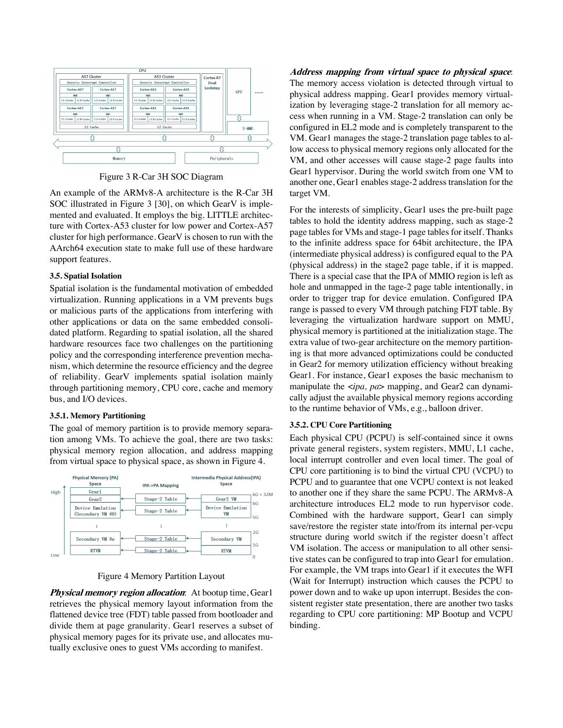

Figure 3 R-Car 3H SOC Diagram

An example of the ARMv8-A architecture is the R-Car 3H SOC illustrated in Figure 3 [30], on which GearV is implemented and evaluated. It employs the big. LITTLE architecture with Cortex-A53 cluster for low power and Cortex-A57 cluster for high performance. GearV is chosen to run with the AArch64 execution state to make full use of these hardware support features.

#### **3.5. Spatial Isolation**

Spatial isolation is the fundamental motivation of embedded virtualization. Running applications in a VM prevents bugs or malicious parts of the applications from interfering with other applications or data on the same embedded consolidated platform. Regarding to spatial isolation, all the shared hardware resources face two challenges on the partitioning policy and the corresponding interference prevention mechanism, which determine the resource efficiency and the degree of reliability. GearV implements spatial isolation mainly through partitioning memory, CPU core, cache and memory bus, and I/O devices.

#### **3.5.1. Memory Partitioning**

The goal of memory partition is to provide memory separation among VMs. To achieve the goal, there are two tasks: physical memory region allocation, and address mapping from virtual space to physical space, as shown in Figure 4.



#### Figure 4 Memory Partition Layout

**Physical memory region allocation**: At bootup time, Gear1 retrieves the physical memory layout information from the flattened device tree (FDT) table passed from bootloader and divide them at page granularity. Gear1 reserves a subset of physical memory pages for its private use, and allocates mutually exclusive ones to guest VMs according to manifest.

**Address mapping from virtual space to physical space**: The memory access violation is detected through virtual to physical address mapping. Gear1 provides memory virtualization by leveraging stage-2 translation for all memory access when running in a VM. Stage-2 translation can only be configured in EL2 mode and is completely transparent to the VM. Gear1 manages the stage-2 translation page tables to allow access to physical memory regions only allocated for the VM, and other accesses will cause stage-2 page faults into Gear1 hypervisor. During the world switch from one VM to another one, Gear1 enables stage-2 address translation for the target VM.

For the interests of simplicity, Gear1 uses the pre-built page tables to hold the identity address mapping, such as stage-2 page tables for VMs and stage-1 page tables for itself. Thanks to the infinite address space for 64bit architecture, the IPA (intermediate physical address) is configured equal to the PA (physical address) in the stage2 page table, if it is mapped. There is a special case that the IPA of MMIO region is left as hole and unmapped in the tage-2 page table intentionally, in order to trigger trap for device emulation. Configured IPA range is passed to every VM through patching FDT table. By leveraging the virtualization hardware support on MMU, physical memory is partitioned at the initialization stage. The extra value of two-gear architecture on the memory partitioning is that more advanced optimizations could be conducted in Gear2 for memory utilization efficiency without breaking Gear1. For instance, Gear1 exposes the basic mechanism to manipulate the <*ipa, pa*> mapping, and Gear2 can dynamically adjust the available physical memory regions according to the runtime behavior of VMs, e.g., balloon driver.

## **3.5.2. CPU Core Partitioning**

Each physical CPU (PCPU) is self-contained since it owns private general registers, system registers, MMU, L1 cache, local interrupt controller and even local timer. The goal of CPU core partitioning is to bind the virtual CPU (VCPU) to PCPU and to guarantee that one VCPU context is not leaked to another one if they share the same PCPU. The ARMv8-A architecture introduces EL2 mode to run hypervisor code. Combined with the hardware support, Gear1 can simply save/restore the register state into/from its internal per-vcpu structure during world switch if the register doesn't affect VM isolation. The access or manipulation to all other sensitive states can be configured to trap into Gear1 for emulation. For example, the VM traps into Gear1 if it executes the WFI (Wait for Interrupt) instruction which causes the PCPU to power down and to wake up upon interrupt. Besides the consistent register state presentation, there are another two tasks regarding to CPU core partitioning: MP Bootup and VCPU binding.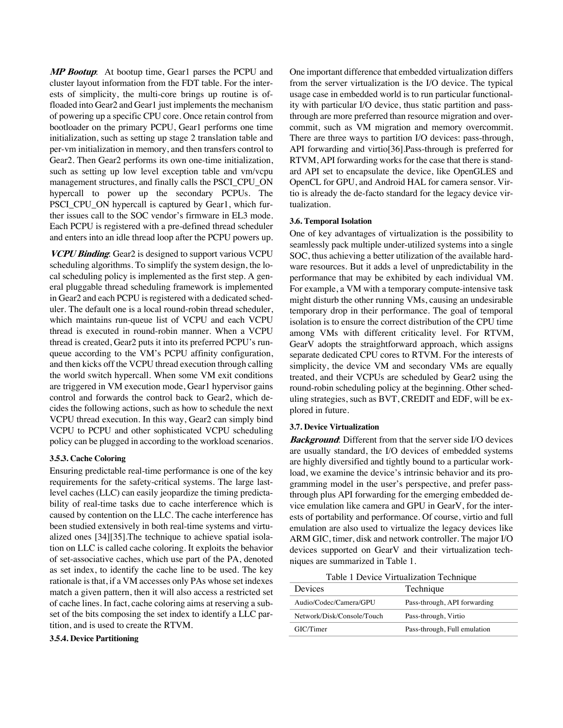**MP Bootup**: At bootup time, Gear1 parses the PCPU and cluster layout information from the FDT table. For the interests of simplicity, the multi-core brings up routine is offloaded into Gear2 and Gear1 just implements the mechanism of powering up a specific CPU core. Once retain control from bootloader on the primary PCPU, Gear1 performs one time initialization, such as setting up stage 2 translation table and per-vm initialization in memory, and then transfers control to Gear2. Then Gear2 performs its own one-time initialization, such as setting up low level exception table and vm/vcpu management structures, and finally calls the PSCI\_CPU\_ON hypercall to power up the secondary PCPUs. The PSCI\_CPU\_ON hypercall is captured by Gear1, which further issues call to the SOC vendor's firmware in EL3 mode. Each PCPU is registered with a pre-defined thread scheduler and enters into an idle thread loop after the PCPU powers up.

**VCPU Binding**: Gear2 is designed to support various VCPU scheduling algorithms. To simplify the system design, the local scheduling policy is implemented as the first step. A general pluggable thread scheduling framework is implemented in Gear2 and each PCPU is registered with a dedicated scheduler. The default one is a local round-robin thread scheduler, which maintains run-queue list of VCPU and each VCPU thread is executed in round-robin manner. When a VCPU thread is created, Gear2 puts it into its preferred PCPU's runqueue according to the VM's PCPU affinity configuration, and then kicks off the VCPU thread execution through calling the world switch hypercall. When some VM exit conditions are triggered in VM execution mode, Gear1 hypervisor gains control and forwards the control back to Gear2, which decides the following actions, such as how to schedule the next VCPU thread execution. In this way, Gear2 can simply bind VCPU to PCPU and other sophisticated VCPU scheduling policy can be plugged in according to the workload scenarios.

### **3.5.3. Cache Coloring**

Ensuring predictable real-time performance is one of the key requirements for the safety-critical systems. The large lastlevel caches (LLC) can easily jeopardize the timing predictability of real-time tasks due to cache interference which is caused by contention on the LLC. The cache interference has been studied extensively in both real-time systems and virtualized ones [34][35].The technique to achieve spatial isolation on LLC is called cache coloring. It exploits the behavior of set-associative caches, which use part of the PA, denoted as set index, to identify the cache line to be used. The key rationale is that, if a VM accesses only PAs whose set indexes match a given pattern, then it will also access a restricted set of cache lines. In fact, cache coloring aims at reserving a subset of the bits composing the set index to identify a LLC partition, and is used to create the RTVM.

## **3.5.4. Device Partitioning**

One important difference that embedded virtualization differs from the server virtualization is the I/O device. The typical usage case in embedded world is to run particular functionality with particular I/O device, thus static partition and passthrough are more preferred than resource migration and overcommit, such as VM migration and memory overcommit. There are three ways to partition I/O devices: pass-through, API forwarding and virtio[36].Pass-through is preferred for RTVM, API forwarding works for the case that there is standard API set to encapsulate the device, like OpenGLES and OpenCL for GPU, and Android HAL for camera sensor. Virtio is already the de-facto standard for the legacy device virtualization.

#### **3.6. Temporal Isolation**

One of key advantages of virtualization is the possibility to seamlessly pack multiple under-utilized systems into a single SOC, thus achieving a better utilization of the available hardware resources. But it adds a level of unpredictability in the performance that may be exhibited by each individual VM. For example, a VM with a temporary compute-intensive task might disturb the other running VMs, causing an undesirable temporary drop in their performance. The goal of temporal isolation is to ensure the correct distribution of the CPU time among VMs with different criticality level. For RTVM, GearV adopts the straightforward approach, which assigns separate dedicated CPU cores to RTVM. For the interests of simplicity, the device VM and secondary VMs are equally treated, and their VCPUs are scheduled by Gear2 using the round-robin scheduling policy at the beginning. Other scheduling strategies, such as BVT, CREDIT and EDF, will be explored in future.

### **3.7. Device Virtualization**

**Background**: Different from that the server side I/O devices are usually standard, the I/O devices of embedded systems are highly diversified and tightly bound to a particular workload, we examine the device's intrinsic behavior and its programming model in the user's perspective, and prefer passthrough plus API forwarding for the emerging embedded device emulation like camera and GPU in GearV, for the interests of portability and performance. Of course, virtio and full emulation are also used to virtualize the legacy devices like ARM GIC, timer, disk and network controller. The major I/O devices supported on GearV and their virtualization techniques are summarized in Table 1.

Table 1 Device Virtualization Technique

| Devices                    | Technique                    |
|----------------------------|------------------------------|
| Audio/Codec/Camera/GPU     | Pass-through, API forwarding |
| Network/Disk/Console/Touch | Pass-through, Virtio         |
| GIC/Timer                  | Pass-through, Full emulation |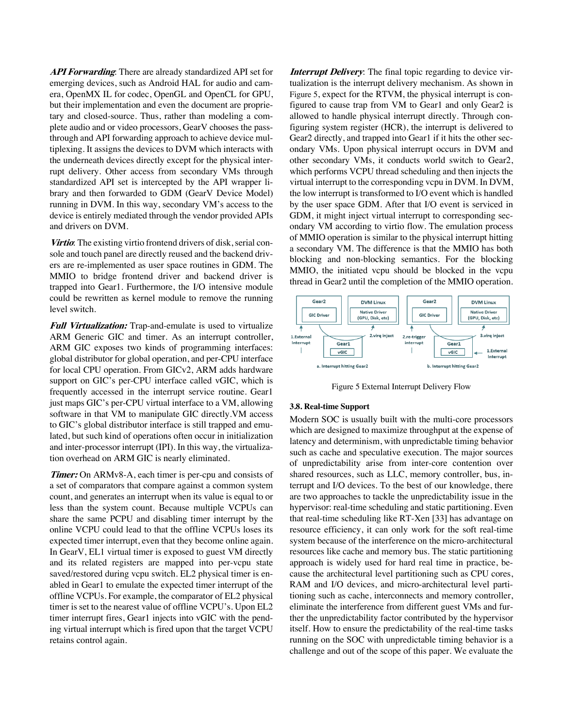**API Forwarding**: There are already standardized API set for emerging devices, such as Android HAL for audio and camera, OpenMX IL for codec, OpenGL and OpenCL for GPU, but their implementation and even the document are proprietary and closed-source. Thus, rather than modeling a complete audio and or video processors, GearV chooses the passthrough and API forwarding approach to achieve device multiplexing. It assigns the devices to DVM which interacts with the underneath devices directly except for the physical interrupt delivery. Other access from secondary VMs through standardized API set is intercepted by the API wrapper library and then forwarded to GDM (GearV Device Model) running in DVM. In this way, secondary VM's access to the device is entirely mediated through the vendor provided APIs and drivers on DVM.

**Virtio**: The existing virtio frontend drivers of disk, serial console and touch panel are directly reused and the backend drivers are re-implemented as user space routines in GDM. The MMIO to bridge frontend driver and backend driver is trapped into Gear1. Furthermore, the I/O intensive module could be rewritten as kernel module to remove the running level switch.

**Full Virtualization:** Trap-and-emulate is used to virtualize ARM Generic GIC and timer. As an interrupt controller, ARM GIC exposes two kinds of programming interfaces: global distributor for global operation, and per-CPU interface for local CPU operation. From GICv2, ARM adds hardware support on GIC's per-CPU interface called vGIC, which is frequently accessed in the interrupt service routine. Gear1 just maps GIC's per-CPU virtual interface to a VM, allowing software in that VM to manipulate GIC directly.VM access to GIC's global distributor interface is still trapped and emulated, but such kind of operations often occur in initialization and inter-processor interrupt (IPI). In this way, the virtualization overhead on ARM GIC is nearly eliminated.

**Timer:** On ARMv8-A, each timer is per-cpu and consists of a set of comparators that compare against a common system count, and generates an interrupt when its value is equal to or less than the system count. Because multiple VCPUs can share the same PCPU and disabling timer interrupt by the online VCPU could lead to that the offline VCPUs loses its expected timer interrupt, even that they become online again. In GearV, EL1 virtual timer is exposed to guest VM directly and its related registers are mapped into per-vcpu state saved/restored during vcpu switch. EL2 physical timer is enabled in Gear1 to emulate the expected timer interrupt of the offline VCPUs. For example, the comparator of EL2 physical timer is set to the nearest value of offline VCPU's. Upon EL2 timer interrupt fires, Gear1 injects into vGIC with the pending virtual interrupt which is fired upon that the target VCPU retains control again.

*Interrupt Delivery*: The final topic regarding to device virtualization is the interrupt delivery mechanism. As shown in Figure 5, expect for the RTVM, the physical interrupt is configured to cause trap from VM to Gear1 and only Gear2 is allowed to handle physical interrupt directly. Through configuring system register (HCR), the interrupt is delivered to Gear2 directly, and trapped into Gear1 if it hits the other secondary VMs. Upon physical interrupt occurs in DVM and other secondary VMs, it conducts world switch to Gear2, which performs VCPU thread scheduling and then injects the virtual interrupt to the corresponding vcpu in DVM. In DVM, the low interrupt is transformed to I/O event which is handled by the user space GDM. After that I/O event is serviced in GDM, it might inject virtual interrupt to corresponding secondary VM according to virtio flow. The emulation process of MMIO operation is similar to the physical interrupt hitting a secondary VM. The difference is that the MMIO has both blocking and non-blocking semantics. For the blocking MMIO, the initiated vcpu should be blocked in the vcpu thread in Gear2 until the completion of the MMIO operation.



Figure 5 External Interrupt Delivery Flow

#### **3.8. Real-time Support**

Modern SOC is usually built with the multi-core processors which are designed to maximize throughput at the expense of latency and determinism, with unpredictable timing behavior such as cache and speculative execution. The major sources of unpredictability arise from inter-core contention over shared resources, such as LLC, memory controller, bus, interrupt and I/O devices. To the best of our knowledge, there are two approaches to tackle the unpredictability issue in the hypervisor: real-time scheduling and static partitioning. Even that real-time scheduling like RT-Xen [33] has advantage on resource efficiency, it can only work for the soft real-time system because of the interference on the micro-architectural resources like cache and memory bus. The static partitioning approach is widely used for hard real time in practice, because the architectural level partitioning such as CPU cores, RAM and I/O devices, and micro-architectural level partitioning such as cache, interconnects and memory controller, eliminate the interference from different guest VMs and further the unpredictability factor contributed by the hypervisor itself. How to ensure the predictability of the real-time tasks running on the SOC with unpredictable timing behavior is a challenge and out of the scope of this paper. We evaluate the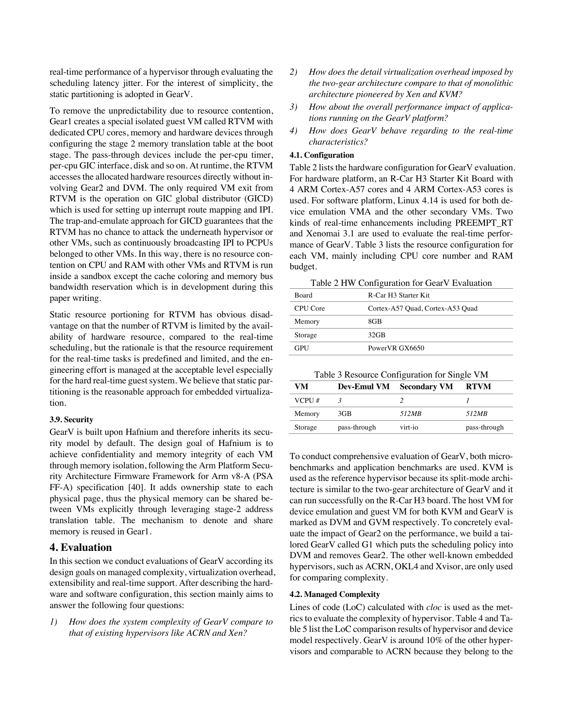real-time performance of a hypervisor through evaluating the scheduling latency jitter. For the interest of simplicity, the static partitioning is adopted in GearV.

To remove the unpredictability due to resource contention, Gear1 creates a special isolated guest VM called RTVM with dedicated CPU cores, memory and hardware devices through configuring the stage 2 memory translation table at the boot stage. The pass-through devices include the per-cpu timer, per-cpu GIC interface, disk and so on. At runtime, the RTVM accesses the allocated hardware resources directly without involving Gear2 and DVM. The only required VM exit from RTVM is the operation on GIC global distributor (GICD) which is used for setting up interrupt route mapping and IPI. The trap-and-emulate approach for GICD guarantees that the RTVM has no chance to attack the underneath hypervisor or other VMs, such as continuously broadcasting IPI to PCPUs belonged to other VMs. In this way, there is no resource contention on CPU and RAM with other VMs and RTVM is run inside a sandbox except the cache coloring and memory bus bandwidth reservation which is in development during this paper writing.

Static resource portioning for RTVM has obvious disadvantage on that the number of RTVM is limited by the availability of hardware resource, compared to the real-time scheduling, but the rationale is that the resource requirement for the real-time tasks is predefined and limited, and the engineering effort is managed at the acceptable level especially for the hard real-time guest system. We believe that static partitioning is the reasonable approach for embedded virtualization.

## **3.9. Security**

GearV is built upon Hafnium and therefore inherits its security model by default. The design goal of Hafnium is to achieve confidentiality and memory integrity of each VM through memory isolation, following the Arm Platform Security Architecture Firmware Framework for Arm v8-A (PSA FF-A) specification [40]. It adds ownership state to each physical page, thus the physical memory can be shared between VMs explicitly through leveraging stage-2 address translation table. The mechanism to denote and share memory is reused in Gear1.

## **4. Evaluation**

In this section we conduct evaluations of GearV according its design goals on managed complexity, virtualization overhead, extensibility and real-time support. After describing the hardware and software configuration, this section mainly aims to answer the following four questions:

*1) How does the system complexity of GearV compare to that of existing hypervisors like ACRN and Xen?* 

- *2) How does the detail virtualization overhead imposed by the two-gear architecture compare to that of monolithic architecture pioneered by Xen and KVM?*
- *3) How about the overall performance impact of applications running on the GearV platform?*
- *4) How does GearV behave regarding to the real-time characteristics?*

#### **4.1. Configuration**

Table 2 lists the hardware configuration for GearV evaluation. For hardware platform, an R-Car H3 Starter Kit Board with 4 ARM Cortex-A57 cores and 4 ARM Cortex-A53 cores is used. For software platform, Linux 4.14 is used for both device emulation VMA and the other secondary VMs. Two kinds of real-time enhancements including PREEMPT\_RT and Xenomai 3.1 are used to evaluate the real-time performance of GearV. Table 3 lists the resource configuration for each VM, mainly including CPU core number and RAM budget.

Table 2 HW Configuration for GearV Evaluation

| <b>Board</b> | R-Car H <sub>3</sub> Starter Kit |
|--------------|----------------------------------|
| CPU Core     | Cortex-A57 Quad, Cortex-A53 Quad |
| Memory       | 8GB                              |
| Storage      | $32$ GB                          |
| <b>GPU</b>   | PowerVR GX6650                   |

Table 3 Resource Configuration for Single VM

| VМ      | <b>Dev-Emul VM</b> | <b>Secondary VM</b> | <b>RTVM</b>  |
|---------|--------------------|---------------------|--------------|
| VCPU#   |                    |                     |              |
| Memory  | 3GB                | 512MB               | 512MB        |
| Storage | pass-through       | virt-io             | pass-through |

To conduct comprehensive evaluation of GearV, both microbenchmarks and application benchmarks are used. KVM is used as the reference hypervisor because its split-mode architecture is similar to the two-gear architecture of GearV and it can run successfully on the R-Car H3 board. The host VM for device emulation and guest VM for both KVM and GearV is marked as DVM and GVM respectively. To concretely evaluate the impact of Gear2 on the performance, we build a tailored GearV called G1 which puts the scheduling policy into DVM and removes Gear2. The other well-known embedded hypervisors, such as ACRN, OKL4 and Xvisor, are only used for comparing complexity.

#### **4.2. Managed Complexity**

Lines of code (LoC) calculated with *cloc* is used as the metrics to evaluate the complexity of hypervisor. Table 4 and Table 5 list the LoC comparison results of hypervisor and device model respectively. GearV is around 10% of the other hypervisors and comparable to ACRN because they belong to the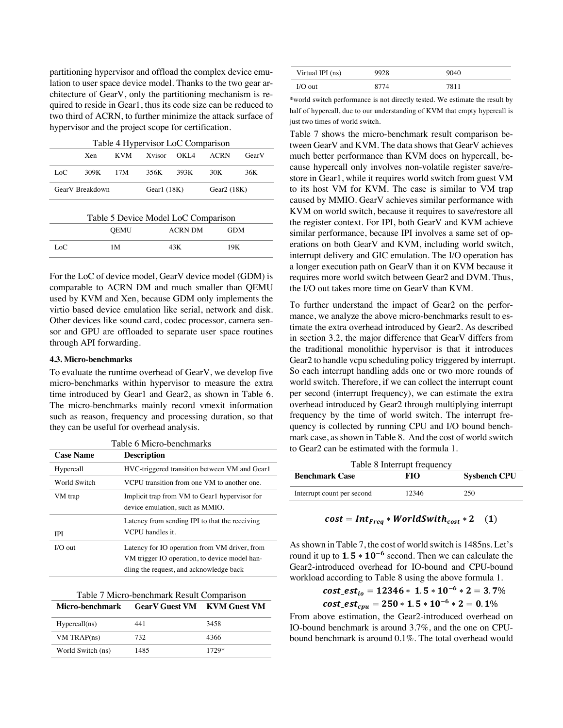partitioning hypervisor and offload the complex device emulation to user space device model. Thanks to the two gear architecture of GearV, only the partitioning mechanism is required to reside in Gear1, thus its code size can be reduced to two third of ACRN, to further minimize the attack surface of hypervisor and the project scope for certification.

| Table 4 Hypervisor LoC Comparison                 |      |             |        |                |            |       |
|---------------------------------------------------|------|-------------|--------|----------------|------------|-------|
|                                                   | Xen  | <b>KVM</b>  | Xvisor | OKI 4          | ACRN       | GearV |
| Loc                                               | 309K | 17M         | 356K   | 393K           | 30K        | 36K   |
| GearV Breakdown<br>Gearl $(18K)$<br>Gear $2(18K)$ |      |             |        |                |            |       |
| Table 5 Device Model LoC Comparison               |      |             |        |                |            |       |
|                                                   |      | <b>OEMU</b> |        | <b>ACRN DM</b> | <b>GDM</b> |       |
| LoC                                               |      | 1 M         |        | 43K            | 19K        |       |

For the LoC of device model, GearV device model (GDM) is comparable to ACRN DM and much smaller than QEMU used by KVM and Xen, because GDM only implements the virtio based device emulation like serial, network and disk. Other devices like sound card, codec processor, camera sensor and GPU are offloaded to separate user space routines through API forwarding.

#### **4.3. Micro-benchmarks**

To evaluate the runtime overhead of GearV, we develop five micro-benchmarks within hypervisor to measure the extra time introduced by Gear1 and Gear2, as shown in Table 6. The micro-benchmarks mainly record vmexit information such as reason, frequency and processing duration, so that they can be useful for overhead analysis.

|                  | Table 6 Micro-benchmarks                                                                                                                  |  |  |  |
|------------------|-------------------------------------------------------------------------------------------------------------------------------------------|--|--|--|
| <b>Case Name</b> | <b>Description</b>                                                                                                                        |  |  |  |
| Hypercall        | HVC-triggered transition between VM and Gear1                                                                                             |  |  |  |
| World Switch     | VCPU transition from one VM to another one.                                                                                               |  |  |  |
| VM trap          | Implicit trap from VM to Gearl hypervisor for<br>device emulation, such as MMIO.                                                          |  |  |  |
| <b>IPI</b>       | Latency from sending IPI to that the receiving<br>VCPU handles it.                                                                        |  |  |  |
| $I/O$ out        | Latency for IO operation from VM driver, from<br>VM trigger IO operation, to device model han-<br>dling the request, and acknowledge back |  |  |  |

|                                             | Table 7 Micro-benchmark Result Comparison |  |
|---------------------------------------------|-------------------------------------------|--|
| Micro-benchmark GearV Guest VM KVM Guest VM |                                           |  |

| Hypercall(ns)     | 441  | 3458  |
|-------------------|------|-------|
| VM TRAP(ns)       | 732  | 4366  |
| World Switch (ns) | 1485 | 1729* |

| Virtual IPI (ns) | 9928 | 9040 |  |
|------------------|------|------|--|
| $I/O$ out        | 8774 | 7811 |  |

\*world switch performance is not directly tested. We estimate the result by half of hypercall, due to our understanding of KVM that empty hypercall is just two times of world switch.

Table 7 shows the micro-benchmark result comparison between GearV and KVM. The data shows that GearV achieves much better performance than KVM does on hypercall, because hypercall only involves non-volatile register save/restore in Gear1, while it requires world switch from guest VM to its host VM for KVM. The case is similar to VM trap caused by MMIO. GearV achieves similar performance with KVM on world switch, because it requires to save/restore all the register context. For IPI, both GearV and KVM achieve similar performance, because IPI involves a same set of operations on both GearV and KVM, including world switch, interrupt delivery and GIC emulation. The I/O operation has a longer execution path on GearV than it on KVM because it requires more world switch between Gear2 and DVM. Thus, the I/O out takes more time on GearV than KVM.

To further understand the impact of Gear2 on the performance, we analyze the above micro-benchmarks result to estimate the extra overhead introduced by Gear2. As described in section 3.2, the major difference that GearV differs from the traditional monolithic hypervisor is that it introduces Gear2 to handle vcpu scheduling policy triggered by interrupt. So each interrupt handling adds one or two more rounds of world switch. Therefore, if we can collect the interrupt count per second (interrupt frequency), we can estimate the extra overhead introduced by Gear2 through multiplying interrupt frequency by the time of world switch. The interrupt frequency is collected by running CPU and I/O bound benchmark case, as shown in Table 8. And the cost of world switch to Gear2 can be estimated with the formula 1.

| Table 8 Interrupt frequency |       |                     |  |  |
|-----------------------------|-------|---------------------|--|--|
| <b>Benchmark Case</b>       | FЮ    | <b>Sysbench CPU</b> |  |  |
| Interrupt count per second  | 12346 | 250                 |  |  |
|                             |       |                     |  |  |

$$
cost = Int_{Freq} * WorldSwitch_{cost} * 2 \quad (1)
$$

As shown in Table 7, the cost of world switch is 1485ns. Let's round it up to  $1.5 * 10^{-6}$  second. Then we can calculate the Gear2-introduced overhead for IO-bound and CPU-bound workload according to Table 8 using the above formula 1.

\_ = ∗ . ∗ ) ∗ = . % \_ = ∗ . ∗ ) ∗ = . %

From above estimation, the Gear2-introduced overhead on IO-bound benchmark is around 3.7%, and the one on CPUbound benchmark is around 0.1%. The total overhead would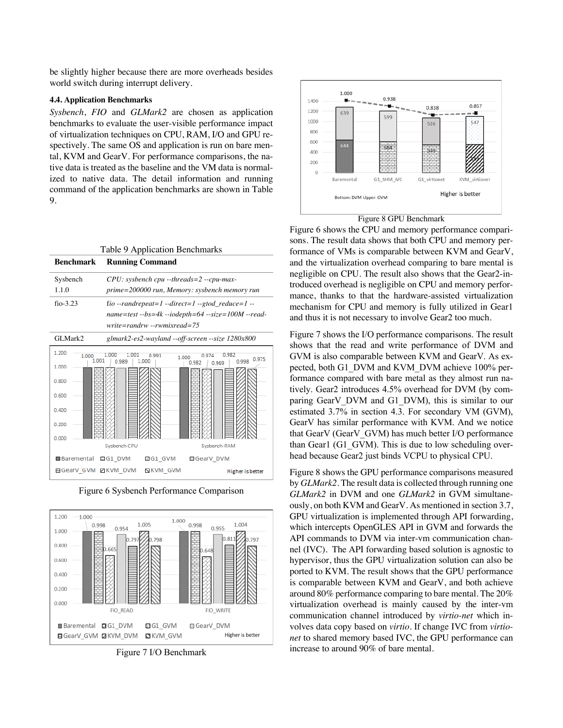be slightly higher because there are more overheads besides world switch during interrupt delivery.

### **4.4. Application Benchmarks**

*Sysbench*, *FIO* and *GLMark2* are chosen as application benchmarks to evaluate the user-visible performance impact of virtualization techniques on CPU, RAM, I/O and GPU respectively. The same OS and application is run on bare mental, KVM and GearV. For performance comparisons, the native data is treated as the baseline and the VM data is normalized to native data. The detail information and running command of the application benchmarks are shown in Table 9.

|                         | Table 9 Application Benchmarks             |                                                              |
|-------------------------|--------------------------------------------|--------------------------------------------------------------|
| <b>Benchmark</b>        | <b>Running Command</b>                     |                                                              |
| Sysbench                | $CPU: systemch$ cpu --threads=2 --cpu-max- |                                                              |
| 1.1.0                   |                                            | prime=200000 run, Memory: sysbench memory run                |
| $fio-3.23$              |                                            | fio --randrepeat=1 --direct=1 --gtod_reduce=1 --             |
|                         |                                            | $name = test -bs = 4k - iodepth = 64 - size = 100M - read -$ |
|                         | $write = \nrandom - \nrewnixed = 75$       |                                                              |
| GLMark2                 |                                            | glmark2-es2-wayland --off-screen --size 1280x800             |
| 1.200<br>1.000<br>1.001 | 1 001<br>0.991<br>1.000<br>0.989           | 0.982<br>1.000<br>0975<br>0.998                              |
| 1.000                   |                                            | 0.982<br>0.969                                               |
| 0.800                   |                                            |                                                              |
| 0.600                   |                                            |                                                              |
| 0.400                   |                                            |                                                              |
| 0.200                   |                                            |                                                              |
| 0.000                   |                                            |                                                              |
|                         | Sysbench-CPU                               | Sysbench-RAM                                                 |
| <b>Baremental</b>       | 日G1 DVM<br>ZG1 GVM                         | <b>■GearV DVM</b>                                            |
| 日GearV GVM ZKVM DVM     | N KVM GVM                                  | Higher is better                                             |

Figure 6 Sysbench Performance Comparison



Figure 7 I/O Benchmark





Figure 6 shows the CPU and memory performance comparisons. The result data shows that both CPU and memory performance of VMs is comparable between KVM and GearV, and the virtualization overhead comparing to bare mental is negligible on CPU. The result also shows that the Gear2-introduced overhead is negligible on CPU and memory performance, thanks to that the hardware-assisted virtualization mechanism for CPU and memory is fully utilized in Gear1 and thus it is not necessary to involve Gear2 too much.

Figure 7 shows the I/O performance comparisons. The result shows that the read and write performance of DVM and GVM is also comparable between KVM and GearV. As expected, both G1\_DVM and KVM\_DVM achieve 100% performance compared with bare metal as they almost run natively. Gear2 introduces 4.5% overhead for DVM (by comparing GearV DVM and G1 DVM), this is similar to our estimated 3.7% in section 4.3. For secondary VM (GVM), GearV has similar performance with KVM. And we notice that GearV (GearV\_GVM) has much better I/O performance than Gear1 (G1\_GVM). This is due to low scheduling overhead because Gear2 just binds VCPU to physical CPU.

Figure 8 shows the GPU performance comparisons measured by *GLMark2*. The result data is collected through running one *GLMark2* in DVM and one *GLMark2* in GVM simultaneously, on both KVM and GearV. As mentioned in section 3.7, GPU virtualization is implemented through API forwarding, which intercepts OpenGLES API in GVM and forwards the API commands to DVM via inter-vm communication channel (IVC). The API forwarding based solution is agnostic to hypervisor, thus the GPU virtualization solution can also be ported to KVM. The result shows that the GPU performance is comparable between KVM and GearV, and both achieve around 80% performance comparing to bare mental. The 20% virtualization overhead is mainly caused by the inter-vm communication channel introduced by *virtio-net* which involves data copy based on *virtio*. If change IVC from *virtionet* to shared memory based IVC, the GPU performance can increase to around 90% of bare mental.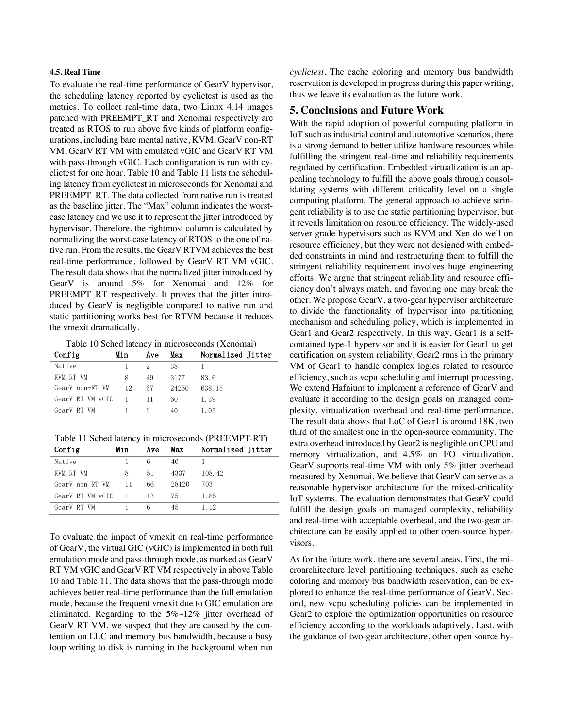#### **4.5. Real Time**

To evaluate the real-time performance of GearV hypervisor, the scheduling latency reported by cyclictest is used as the metrics. To collect real-time data, two Linux 4.14 images patched with PREEMPT\_RT and Xenomai respectively are treated as RTOS to run above five kinds of platform configurations, including bare mental native, KVM, GearV non-RT VM, GearV RT VM with emulated vGIC and GearV RT VM with pass-through vGIC. Each configuration is run with cyclictest for one hour. Table 10 and Table 11 lists the scheduling latency from cyclictest in microseconds for Xenomai and PREEMPT\_RT. The data collected from native run is treated as the baseline jitter. The "Max" column indicates the worstcase latency and we use it to represent the jitter introduced by hypervisor. Therefore, the rightmost column is calculated by normalizing the worst-case latency of RTOS to the one of native run. From the results, the GearV RTVM achieves the best real-time performance, followed by GearV RT VM vGIC. The result data shows that the normalized jitter introduced by GearV is around 5% for Xenomai and 12% for PREEMPT RT respectively. It proves that the jitter introduced by GearV is negligible compared to native run and static partitioning works best for RTVM because it reduces the vmexit dramatically.

Table 10 Sched latency in microseconds (Xenomai)

| Config           | Min | Ave | Max   | Normalized Jitter |
|------------------|-----|-----|-------|-------------------|
| Native           |     |     | 38    |                   |
| KVM RT VM        | 8   | 49  | 3177  | 83.6              |
| GearV non-RT VM  | 12  | 67  | 24250 | 638.15            |
| GearV RT VM vGIC |     |     | 60    | 1.39              |
| GearV RT VM      |     |     | 40    | 1.05              |

Table 11 Sched latency in microseconds (PREEMPT-RT)

| Config           | Min            | Ave | Max   | Normalized Jitter |
|------------------|----------------|-----|-------|-------------------|
| Native           |                |     | 40    |                   |
| KVM RT VM        |                | 51  | 4337  | 108.42            |
| GearV non-RT VM  | $\sqrt{11}$    | 66  | 28120 | 703               |
| GearV RT VM vGIC | $\blacksquare$ | 13  | 75    | 1.85              |
| GearV RT VM      |                |     | 45    | 1.12              |

To evaluate the impact of vmexit on real-time performance of GearV, the virtual GIC (vGIC) is implemented in both full emulation mode and pass-through mode, as marked as GearV RT VM vGIC and GearV RT VM respectively in above Table 10 and Table 11. The data shows that the pass-through mode achieves better real-time performance than the full emulation mode, because the frequent vmexit due to GIC emulation are eliminated. Regarding to the  $5\%$ ~12% jitter overhead of GearV RT VM, we suspect that they are caused by the contention on LLC and memory bus bandwidth, because a busy loop writing to disk is running in the background when run *cyclictest.* The cache coloring and memory bus bandwidth reservation is developed in progress during this paper writing, thus we leave its evaluation as the future work.

### **5. Conclusions and Future Work**

With the rapid adoption of powerful computing platform in IoT such as industrial control and automotive scenarios, there is a strong demand to better utilize hardware resources while fulfilling the stringent real-time and reliability requirements regulated by certification. Embedded virtualization is an appealing technology to fulfill the above goals through consolidating systems with different criticality level on a single computing platform. The general approach to achieve stringent reliability is to use the static partitioning hypervisor, but it reveals limitation on resource efficiency. The widely-used server grade hypervisors such as KVM and Xen do well on resource efficiency, but they were not designed with embedded constraints in mind and restructuring them to fulfill the stringent reliability requirement involves huge engineering efforts. We argue that stringent reliability and resource efficiency don't always match, and favoring one may break the other. We propose GearV, a two-gear hypervisor architecture to divide the functionality of hypervisor into partitioning mechanism and scheduling policy, which is implemented in Gear1 and Gear2 respectively. In this way, Gear1 is a selfcontained type-1 hypervisor and it is easier for Gear1 to get certification on system reliability. Gear2 runs in the primary VM of Gear1 to handle complex logics related to resource efficiency, such as vcpu scheduling and interrupt processing. We extend Hafnium to implement a reference of GearV and evaluate it according to the design goals on managed complexity, virtualization overhead and real-time performance. The result data shows that LoC of Gear1 is around 18K, two third of the smallest one in the open-source community. The extra overhead introduced by Gear2 is negligible on CPU and memory virtualization, and 4.5% on I/O virtualization. GearV supports real-time VM with only 5% jitter overhead measured by Xenomai. We believe that GearV can serve as a reasonable hypervisor architecture for the mixed-criticality IoT systems. The evaluation demonstrates that GearV could fulfill the design goals on managed complexity, reliability and real-time with acceptable overhead, and the two-gear architecture can be easily applied to other open-source hypervisors.

As for the future work, there are several areas. First, the microarchitecture level partitioning techniques, such as cache coloring and memory bus bandwidth reservation, can be explored to enhance the real-time performance of GearV. Second, new vcpu scheduling policies can be implemented in Gear2 to explore the optimization opportunities on resource efficiency according to the workloads adaptively. Last, with the guidance of two-gear architecture, other open source hy